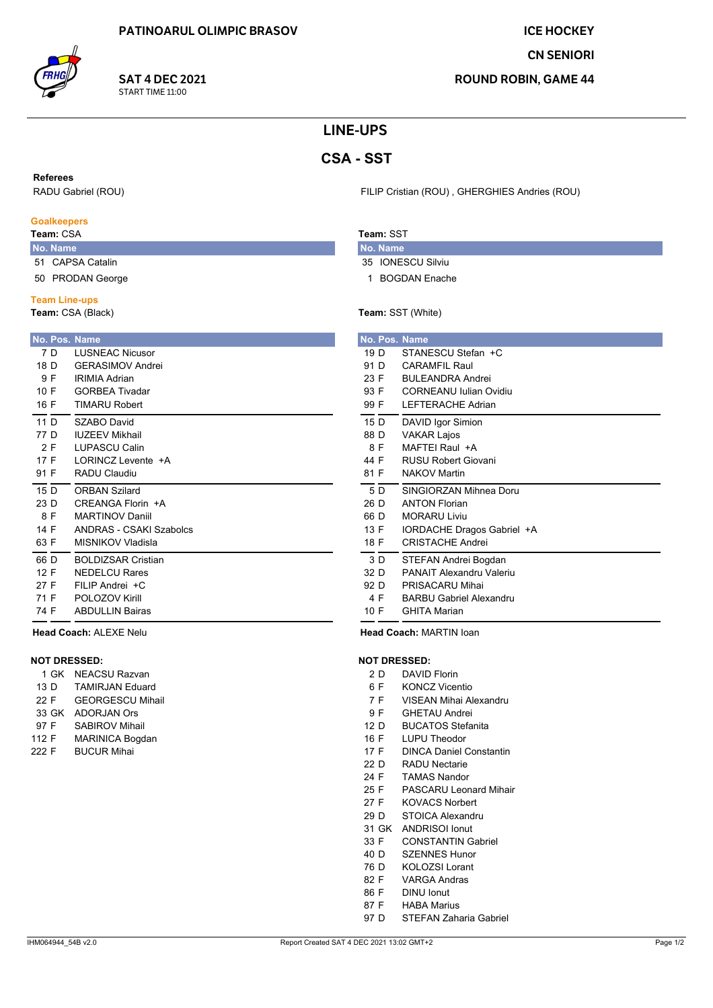**SAT 4 DEC 2021** 

START TIME 11:00

**ICE HOCKEY** 

**CN SENIORI** 

**ROUND ROBIN, GAME 44** 

## **LINE-UPS**

# **CSA - SST**

#### **Referees**

RADU Gabriel (ROU)

#### **Goalkeepers**

## Team: CSA

- No. Name 51 CAPSA Catalin
- 50 PRODAN George

#### **Team Line-ups**

Team: CSA (Black)

| No. Pos. Name   |                           |
|-----------------|---------------------------|
| 7 D             | <b>LUSNEAC Nicusor</b>    |
| 18 D            | <b>GFRASIMOV Andrei</b>   |
| 9 F             | <b>IRIMIA Adrian</b>      |
| 10 F            | <b>GORBEA Tivadar</b>     |
| 16 F            | <b>TIMARU Robert</b>      |
| 11 <sub>D</sub> | SZABO David               |
| 77 D            | <b>IUZEEV Mikhail</b>     |
| 2 F             | <b>LUPASCU Calin</b>      |
| 17 F            | I ORINCZ Levente +A       |
| 91 F            | RADU Claudiu              |
| 15 $D$          | <b>ORBAN Szilard</b>      |
| 23 D            | CREANGA Florin +A         |
| 8 F             | <b>MARTINOV Daniil</b>    |
| 14 F            | ANDRAS - CSAKI Szabolcs   |
| 63 F            | MISNIKOV Vladisla         |
| 66 D            | <b>BOLDIZSAR Cristian</b> |
| 12 F            | NEDEL CU Rares            |
| 27 F            | FII IP Andrei +C          |
| 71 F            | POLOZOV Kirill            |
| 74 F            | <b>ABDULLIN Bairas</b>    |

## Head Coach: ALEXE Nelu

### **NOT DRESSED:**

|       | 1 GK  | NEACSU Razvan           |
|-------|-------|-------------------------|
| 13 D  |       | <b>TAMIRJAN Eduard</b>  |
| 22 F  |       | <b>GEORGESCU Mihail</b> |
|       | 33 GK | <b>ADORJAN Ors</b>      |
| 97 F  |       | <b>SABIROV Mihail</b>   |
| 112 F |       | <b>MARINICA Bogdan</b>  |
| 222 F |       | <b>BUCUR Mihai</b>      |
|       |       |                         |

#### FILIP Cristian (ROU), GHERGHIES Andries (ROU)

## Team: SST

- No. Name 35 IONESCU Silviu
- 1 BOGDAN Enache

## Team: SST (White)

|      | No. Pos. Name                  |  |
|------|--------------------------------|--|
| 19 D | STANESCU Stefan +C             |  |
| 91 D | <b>CARAMFIL Raul</b>           |  |
| 23 F | <b>BUI FANDRA Andrei</b>       |  |
| 93 F | CORNEANU Iulian Ovidiu         |  |
| 99 F | LEFTERACHE Adrian              |  |
| 15 D | DAVID Igor Simion              |  |
| 88 D | <b>VAKAR Lajos</b>             |  |
| 8 F  | MAFTEI Raul +A                 |  |
| 44 F | RUSU Robert Giovani            |  |
| 81 F | <b>NAKOV Martin</b>            |  |
| 5 D  | SINGIORZAN Mihnea Doru         |  |
| 26 D | <b>ANTON Florian</b>           |  |
| 66 D | <b>MORARU Liviu</b>            |  |
| 13 F | IORDACHE Dragos Gabriel +A     |  |
| 18 F | <b>CRISTACHE Andrei</b>        |  |
| 3 D  | STEFAN Andrei Bogdan           |  |
| 32 D | PANAIT Alexandru Valeriu       |  |
| 92 D | PRISACARU Mihai                |  |
| 4 F  | <b>BARBU Gabriel Alexandru</b> |  |
| 10 F | <b>GHITA Marian</b>            |  |

Head Coach: MARTIN Ioan

#### **NOT DRESSED:**

- $2D$ **DAVID Florin**
- $6F$ **KONCZ Vicentio**
- VISEAN Mihai Alexandru  $7F$
- 9F **GHETAU Andrei**
- **BUCATOS Stefanita** 12 D
- 16 F LUPU Theodor
- $17 F$ **DINCA Daniel Constantin**
- $22D$ **RADU Nectarie**
- 24 F **TAMAS Nandor**
- 25 F **PASCARU Leonard Mihair**
- 27 F **KOVACS Norbert**
- 29 D STOICA Alexandru
- 31 GK ANDRISOI lonut
- **CONSTANTIN Gabriel**  $33 F$
- 40 D **SZENNES Hunor**
- 76 D **KOLOZSI Lorant**
- 82 F **VARGA Andras**
- 86 F **DINU lonut**
- 87 F **HABA Marius**
- STEFAN Zaharia Gabriel 97 D